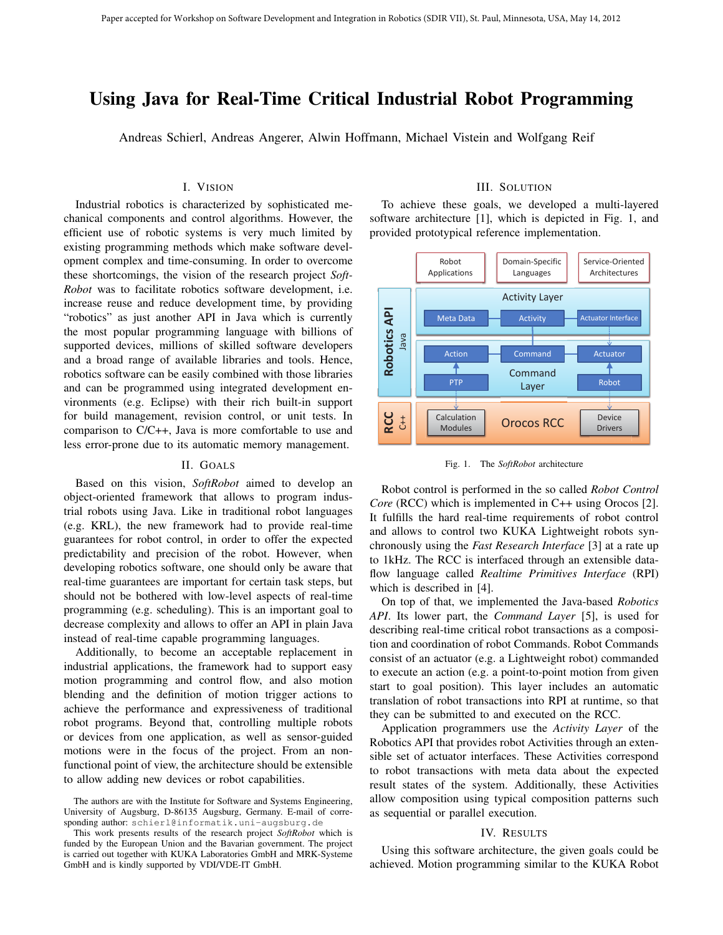# Using Java for Real-Time Critical Industrial Robot Programming

Andreas Schierl, Andreas Angerer, Alwin Hoffmann, Michael Vistein and Wolfgang Reif

# I. VISION

Industrial robotics is characterized by sophisticated mechanical components and control algorithms. However, the efficient use of robotic systems is very much limited by existing programming methods which make software development complex and time-consuming. In order to overcome these shortcomings, the vision of the research project *Soft-Robot* was to facilitate robotics software development, i.e. increase reuse and reduce development time, by providing "robotics" as just another API in Java which is currently the most popular programming language with billions of supported devices, millions of skilled software developers and a broad range of available libraries and tools. Hence, robotics software can be easily combined with those libraries and can be programmed using integrated development environments (e.g. Eclipse) with their rich built-in support for build management, revision control, or unit tests. In comparison to C/C++, Java is more comfortable to use and less error-prone due to its automatic memory management.

# II. GOALS

Based on this vision, *SoftRobot* aimed to develop an object-oriented framework that allows to program industrial robots using Java. Like in traditional robot languages (e.g. KRL), the new framework had to provide real-time guarantees for robot control, in order to offer the expected predictability and precision of the robot. However, when developing robotics software, one should only be aware that real-time guarantees are important for certain task steps, but should not be bothered with low-level aspects of real-time programming (e.g. scheduling). This is an important goal to decrease complexity and allows to offer an API in plain Java instead of real-time capable programming languages.

Additionally, to become an acceptable replacement in industrial applications, the framework had to support easy motion programming and control flow, and also motion blending and the definition of motion trigger actions to achieve the performance and expressiveness of traditional robot programs. Beyond that, controlling multiple robots or devices from one application, as well as sensor-guided motions were in the focus of the project. From an nonfunctional point of view, the architecture should be extensible to allow adding new devices or robot capabilities.

### III. SOLUTION

To achieve these goals, we developed a multi-layered software architecture [1], which is depicted in Fig. 1, and provided prototypical reference implementation.



Fig. 1. The *SoftRobot* architecture

Robot control is performed in the so called *Robot Control Core* (RCC) which is implemented in C++ using Orocos [2]. It fulfills the hard real-time requirements of robot control and allows to control two KUKA Lightweight robots synchronously using the *Fast Research Interface* [3] at a rate up to 1kHz. The RCC is interfaced through an extensible dataflow language called *Realtime Primitives Interface* (RPI) which is described in [4].

On top of that, we implemented the Java-based *Robotics API*. Its lower part, the *Command Layer* [5], is used for describing real-time critical robot transactions as a composition and coordination of robot Commands. Robot Commands consist of an actuator (e.g. a Lightweight robot) commanded to execute an action (e.g. a point-to-point motion from given start to goal position). This layer includes an automatic translation of robot transactions into RPI at runtime, so that they can be submitted to and executed on the RCC.

Application programmers use the *Activity Layer* of the Robotics API that provides robot Activities through an extensible set of actuator interfaces. These Activities correspond to robot transactions with meta data about the expected result states of the system. Additionally, these Activities allow composition using typical composition patterns such as sequential or parallel execution.

#### IV. RESULTS

Using this software architecture, the given goals could be achieved. Motion programming similar to the KUKA Robot

The authors are with the Institute for Software and Systems Engineering, University of Augsburg, D-86135 Augsburg, Germany. E-mail of corresponding author: schierl@informatik.uni-augsburg.de

This work presents results of the research project *SoftRobot* which is funded by the European Union and the Bavarian government. The project is carried out together with KUKA Laboratories GmbH and MRK-Systeme GmbH and is kindly supported by VDI/VDE-IT GmbH.